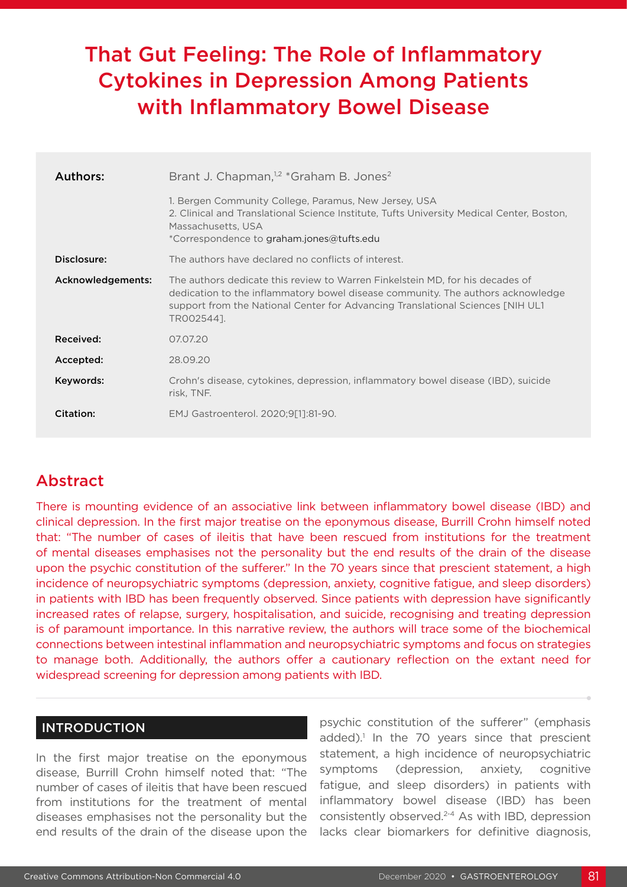# That Gut Feeling: The Role of Inflammatory Cytokines in Depression Among Patients with Inflammatory Bowel Disease

| Authors:          | Brant J. Chapman, <sup>1,2</sup> *Graham B. Jones <sup>2</sup>                                                                                                                                                                                                   |
|-------------------|------------------------------------------------------------------------------------------------------------------------------------------------------------------------------------------------------------------------------------------------------------------|
|                   | 1. Bergen Community College, Paramus, New Jersey, USA<br>2. Clinical and Translational Science Institute, Tufts University Medical Center, Boston,<br>Massachusetts, USA<br>*Correspondence to graham.jones@tufts.edu                                            |
| Disclosure:       | The authors have declared no conflicts of interest.                                                                                                                                                                                                              |
| Acknowledgements: | The authors dedicate this review to Warren Finkelstein MD, for his decades of<br>dedication to the inflammatory bowel disease community. The authors acknowledge<br>support from the National Center for Advancing Translational Sciences [NIH UL1<br>TR0025441. |
| Received:         | 07.07.20                                                                                                                                                                                                                                                         |
| Accepted:         | 28.09.20                                                                                                                                                                                                                                                         |
| Keywords:         | Crohn's disease, cytokines, depression, inflammatory bowel disease (IBD), suicide<br>risk, TNF.                                                                                                                                                                  |
| Citation:         | EMJ Gastroenterol. 2020;9[1]:81-90.                                                                                                                                                                                                                              |

## Abstract

There is mounting evidence of an associative link between inflammatory bowel disease (IBD) and clinical depression. In the first major treatise on the eponymous disease, Burrill Crohn himself noted that: "The number of cases of ileitis that have been rescued from institutions for the treatment of mental diseases emphasises not the personality but the end results of the drain of the disease upon the psychic constitution of the sufferer." In the 70 years since that prescient statement, a high incidence of neuropsychiatric symptoms (depression, anxiety, cognitive fatigue, and sleep disorders) in patients with IBD has been frequently observed. Since patients with depression have significantly increased rates of relapse, surgery, hospitalisation, and suicide, recognising and treating depression is of paramount importance. In this narrative review, the authors will trace some of the biochemical connections between intestinal inflammation and neuropsychiatric symptoms and focus on strategies to manage both. Additionally, the authors offer a cautionary reflection on the extant need for widespread screening for depression among patients with IBD.

#### INTRODUCTION

In the first major treatise on the eponymous disease, Burrill Crohn himself noted that: "The number of cases of ileitis that have been rescued from institutions for the treatment of mental diseases emphasises not the personality but the end results of the drain of the disease upon the

psychic constitution of the sufferer" (emphasis added).<sup>1</sup> In the 70 years since that prescient statement, a high incidence of neuropsychiatric symptoms (depression, anxiety, cognitive fatigue, and sleep disorders) in patients with inflammatory bowel disease (IBD) has been consistently observed.2-4 As with IBD, depression lacks clear biomarkers for definitive diagnosis,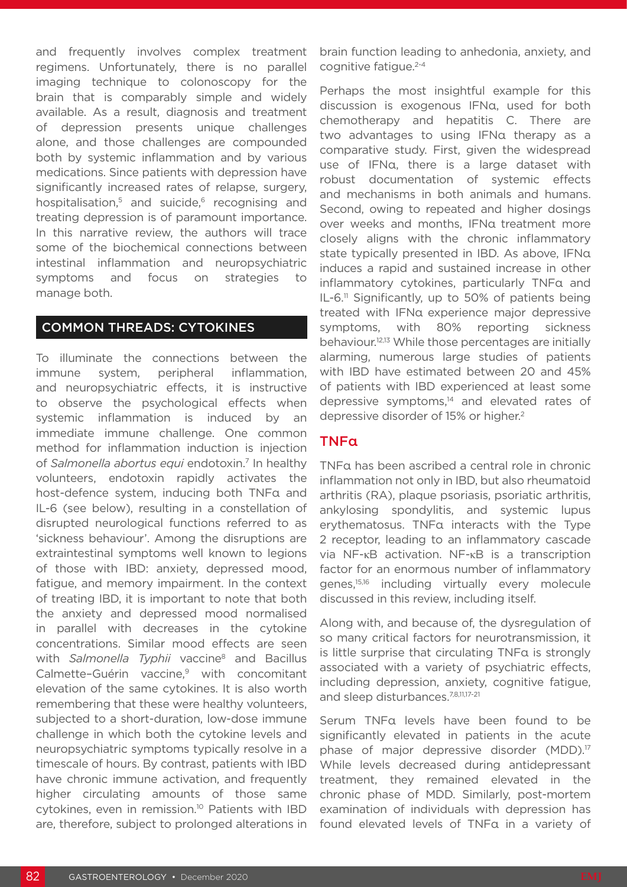and frequently involves complex treatment regimens. Unfortunately, there is no parallel imaging technique to colonoscopy for the brain that is comparably simple and widely available. As a result, diagnosis and treatment of depression presents unique challenges alone, and those challenges are compounded both by systemic inflammation and by various medications. Since patients with depression have significantly increased rates of relapse, surgery, hospitalisation, $5$  and suicide, $6$  recognising and treating depression is of paramount importance. In this narrative review, the authors will trace some of the biochemical connections between intestinal inflammation and neuropsychiatric symptoms and focus on strategies to manage both.

#### COMMON THREADS: CYTOKINES

To illuminate the connections between the immune system, peripheral inflammation, and neuropsychiatric effects, it is instructive to observe the psychological effects when systemic inflammation is induced by an immediate immune challenge. One common method for inflammation induction is injection of *Salmonella abortus equi* endotoxin.7 In healthy volunteers, endotoxin rapidly activates the host-defence system, inducing both TNFα and IL-6 (see below), resulting in a constellation of disrupted neurological functions referred to as 'sickness behaviour'. Among the disruptions are extraintestinal symptoms well known to legions of those with IBD: anxiety, depressed mood, fatigue, and memory impairment. In the context of treating IBD, it is important to note that both the anxiety and depressed mood normalised in parallel with decreases in the cytokine concentrations. Similar mood effects are seen with *Salmonella Typhii* vaccine<sup>8</sup> and Bacillus Calmette-Guérin vaccine,<sup>9</sup> with concomitant elevation of the same cytokines. It is also worth remembering that these were healthy volunteers, subjected to a short-duration, low-dose immune challenge in which both the cytokine levels and neuropsychiatric symptoms typically resolve in a timescale of hours. By contrast, patients with IBD have chronic immune activation, and frequently higher circulating amounts of those same cytokines, even in remission.<sup>10</sup> Patients with IBD are, therefore, subject to prolonged alterations in

brain function leading to anhedonia, anxiety, and cognitive fatigue.<sup>2-4</sup>

Perhaps the most insightful example for this discussion is exogenous IFNα, used for both chemotherapy and hepatitis C. There are two advantages to using IFNα therapy as a comparative study. First, given the widespread use of IFNα, there is a large dataset with robust documentation of systemic effects and mechanisms in both animals and humans. Second, owing to repeated and higher dosings over weeks and months, IFNα treatment more closely aligns with the chronic inflammatory state typically presented in IBD. As above, IFNα induces a rapid and sustained increase in other inflammatory cytokines, particularly TNFα and  $IL-6<sup>11</sup>$  Significantly, up to 50% of patients being treated with IFNα experience major depressive symptoms, with 80% reporting sickness behaviour.12,13 While those percentages are initially alarming, numerous large studies of patients with IBD have estimated between 20 and 45% of patients with IBD experienced at least some depressive symptoms,<sup>14</sup> and elevated rates of depressive disorder of 15% or higher.2

#### TNFα

TNFα has been ascribed a central role in chronic inflammation not only in IBD, but also rheumatoid arthritis (RA), plaque psoriasis, psoriatic arthritis, ankylosing spondylitis, and systemic lupus erythematosus. TNFα interacts with the Type 2 receptor, leading to an inflammatory cascade via NF-κB activation. NF-κB is a transcription factor for an enormous number of inflammatory genes,15,16 including virtually every molecule discussed in this review, including itself.

Along with, and because of, the dysregulation of so many critical factors for neurotransmission, it is little surprise that circulating TNFα is strongly associated with a variety of psychiatric effects, including depression, anxiety, cognitive fatigue, and sleep disturbances.<sup>7,8,11,17-21</sup>

Serum TNFα levels have been found to be significantly elevated in patients in the acute phase of major depressive disorder (MDD).<sup>17</sup> While levels decreased during antidepressant treatment, they remained elevated in the chronic phase of MDD. Similarly, post-mortem examination of individuals with depression has found elevated levels of TNFα in a variety of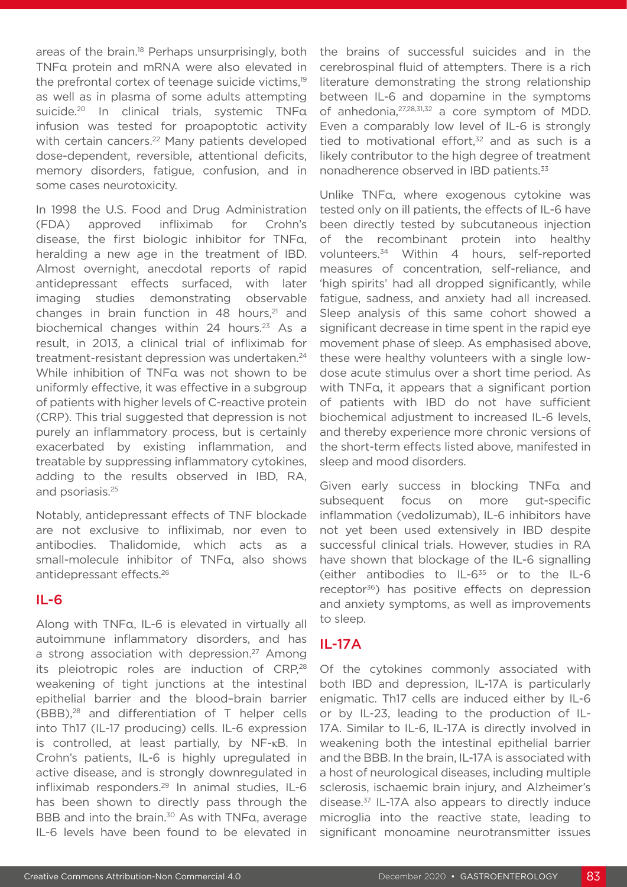areas of the brain.<sup>18</sup> Perhaps unsurprisingly, both TNFα protein and mRNA were also elevated in the prefrontal cortex of teenage suicide victims,<sup>19</sup> as well as in plasma of some adults attempting suicide.20 In clinical trials, systemic TNFα infusion was tested for proapoptotic activity with certain cancers.<sup>22</sup> Many patients developed dose-dependent, reversible, attentional deficits, memory disorders, fatigue, confusion, and in some cases neurotoxicity.

In 1998 the U.S. Food and Drug Administration (FDA) approved infliximab for Crohn's disease, the first biologic inhibitor for TNFα, heralding a new age in the treatment of IBD. Almost overnight, anecdotal reports of rapid antidepressant effects surfaced, with later imaging studies demonstrating observable changes in brain function in 48 hours, $21$  and biochemical changes within 24 hours.<sup>23</sup> As a result, in 2013, a clinical trial of infliximab for treatment-resistant depression was undertaken.<sup>24</sup> While inhibition of TNFα was not shown to be uniformly effective, it was effective in a subgroup of patients with higher levels of C-reactive protein (CRP). This trial suggested that depression is not purely an inflammatory process, but is certainly exacerbated by existing inflammation, and treatable by suppressing inflammatory cytokines, adding to the results observed in IBD, RA, and psoriasis.25

Notably, antidepressant effects of TNF blockade are not exclusive to infliximab, nor even to antibodies. Thalidomide, which acts as a small-molecule inhibitor of TNFα, also shows antidepressant effects.26

#### IL-6

Along with TNFα, IL-6 is elevated in virtually all autoimmune inflammatory disorders, and has a strong association with depression.<sup>27</sup> Among its pleiotropic roles are induction of CRP,<sup>28</sup> weakening of tight junctions at the intestinal epithelial barrier and the blood–brain barrier (BBB),28 and differentiation of T helper cells into Th17 (IL-17 producing) cells. IL-6 expression is controlled, at least partially, by NF-κB. In Crohn's patients, IL-6 is highly upregulated in active disease, and is strongly downregulated in infliximab responders.29 In animal studies, IL-6 has been shown to directly pass through the BBB and into the brain.<sup>30</sup> As with TNFα, average IL-6 levels have been found to be elevated in

the brains of successful suicides and in the cerebrospinal fluid of attempters. There is a rich literature demonstrating the strong relationship between IL-6 and dopamine in the symptoms of anhedonia,27,28,31,32 a core symptom of MDD. Even a comparably low level of IL-6 is strongly tied to motivational effort, $32$  and as such is a likely contributor to the high degree of treatment nonadherence observed in IBD patients.<sup>33</sup>

Unlike TNFα, where exogenous cytokine was tested only on ill patients, the effects of IL-6 have been directly tested by subcutaneous injection of the recombinant protein into healthy volunteers.34 Within 4 hours, self-reported measures of concentration, self-reliance, and 'high spirits' had all dropped significantly, while fatigue, sadness, and anxiety had all increased. Sleep analysis of this same cohort showed a significant decrease in time spent in the rapid eye movement phase of sleep. As emphasised above, these were healthy volunteers with a single lowdose acute stimulus over a short time period. As with TNFα, it appears that a significant portion of patients with IBD do not have sufficient biochemical adjustment to increased IL-6 levels, and thereby experience more chronic versions of the short-term effects listed above, manifested in sleep and mood disorders.

Given early success in blocking TNFα and subsequent focus on more gut-specific inflammation (vedolizumab), IL-6 inhibitors have not yet been used extensively in IBD despite successful clinical trials. However, studies in RA have shown that blockage of the IL-6 signalling (either antibodies to IL-635 or to the IL-6 receptor<sup>36</sup>) has positive effects on depression and anxiety symptoms, as well as improvements to sleep.

## IL-17A

Of the cytokines commonly associated with both IBD and depression, IL-17A is particularly enigmatic. Th17 cells are induced either by IL-6 or by IL-23, leading to the production of IL-17A. Similar to IL-6, IL-17A is directly involved in weakening both the intestinal epithelial barrier and the BBB. In the brain, IL-17A is associated with a host of neurological diseases, including multiple sclerosis, ischaemic brain injury, and Alzheimer's disease.37 IL-17A also appears to directly induce microglia into the reactive state, leading to significant monoamine neurotransmitter issues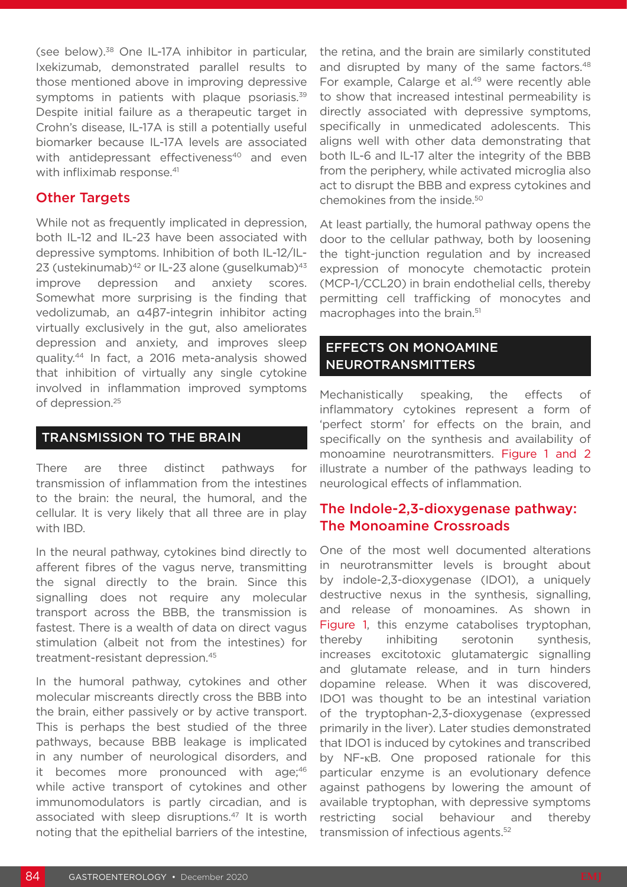(see below).38 One IL-17A inhibitor in particular, Ixekizumab, demonstrated parallel results to those mentioned above in improving depressive symptoms in patients with plaque psoriasis.<sup>39</sup> Despite initial failure as a therapeutic target in Crohn's disease, IL-17A is still a potentially useful biomarker because IL-17A levels are associated with antidepressant effectiveness<sup>40</sup> and even with infliximab response.<sup>41</sup>

#### Other Targets

While not as frequently implicated in depression, both IL-12 and IL-23 have been associated with depressive symptoms. Inhibition of both IL-12/IL-23 (ustekinumab) $42$  or IL-23 alone (guselkumab) $43$ improve depression and anxiety scores. Somewhat more surprising is the finding that vedolizumab, an α4β7-integrin inhibitor acting virtually exclusively in the gut, also ameliorates depression and anxiety, and improves sleep quality.44 In fact, a 2016 meta-analysis showed that inhibition of virtually any single cytokine involved in inflammation improved symptoms of depression.<sup>25</sup>

#### TRANSMISSION TO THE BRAIN

There are three distinct pathways for transmission of inflammation from the intestines to the brain: the neural, the humoral, and the cellular. It is very likely that all three are in play with IBD.

In the neural pathway, cytokines bind directly to afferent fibres of the vagus nerve, transmitting the signal directly to the brain. Since this signalling does not require any molecular transport across the BBB, the transmission is fastest. There is a wealth of data on direct vagus stimulation (albeit not from the intestines) for treatment-resistant depression.45

In the humoral pathway, cytokines and other molecular miscreants directly cross the BBB into the brain, either passively or by active transport. This is perhaps the best studied of the three pathways, because BBB leakage is implicated in any number of neurological disorders, and it becomes more pronounced with age;<sup>46</sup> while active transport of cytokines and other immunomodulators is partly circadian, and is associated with sleep disruptions.47 It is worth noting that the epithelial barriers of the intestine, the retina, and the brain are similarly constituted and disrupted by many of the same factors.<sup>48</sup> For example, Calarge et al.<sup>49</sup> were recently able to show that increased intestinal permeability is directly associated with depressive symptoms, specifically in unmedicated adolescents. This aligns well with other data demonstrating that both IL-6 and IL-17 alter the integrity of the BBB from the periphery, while activated microglia also act to disrupt the BBB and express cytokines and chemokines from the inside.50

At least partially, the humoral pathway opens the door to the cellular pathway, both by loosening the tight-junction regulation and by increased expression of monocyte chemotactic protein (MCP-1/CCL20) in brain endothelial cells, thereby permitting cell trafficking of monocytes and macrophages into the brain.<sup>51</sup>

#### EFFECTS ON MONOAMINE NEUROTRANSMITTERS

Mechanistically speaking, the effects of inflammatory cytokines represent a form of 'perfect storm' for effects on the brain, and specifically on the synthesis and availability of monoamine neurotransmitters. Figure 1 and 2 illustrate a number of the pathways leading to neurological effects of inflammation.

## The Indole-2,3-dioxygenase pathway: The Monoamine Crossroads

One of the most well documented alterations in neurotransmitter levels is brought about by indole-2,3-dioxygenase (IDO1), a uniquely destructive nexus in the synthesis, signalling, and release of monoamines. As shown in Figure 1, this enzyme catabolises tryptophan, thereby inhibiting serotonin synthesis, increases excitotoxic glutamatergic signalling and glutamate release, and in turn hinders dopamine release. When it was discovered, IDO1 was thought to be an intestinal variation of the tryptophan-2,3-dioxygenase (expressed primarily in the liver). Later studies demonstrated that IDO1 is induced by cytokines and transcribed by NF-κB. One proposed rationale for this particular enzyme is an evolutionary defence against pathogens by lowering the amount of available tryptophan, with depressive symptoms restricting social behaviour and thereby transmission of infectious agents.52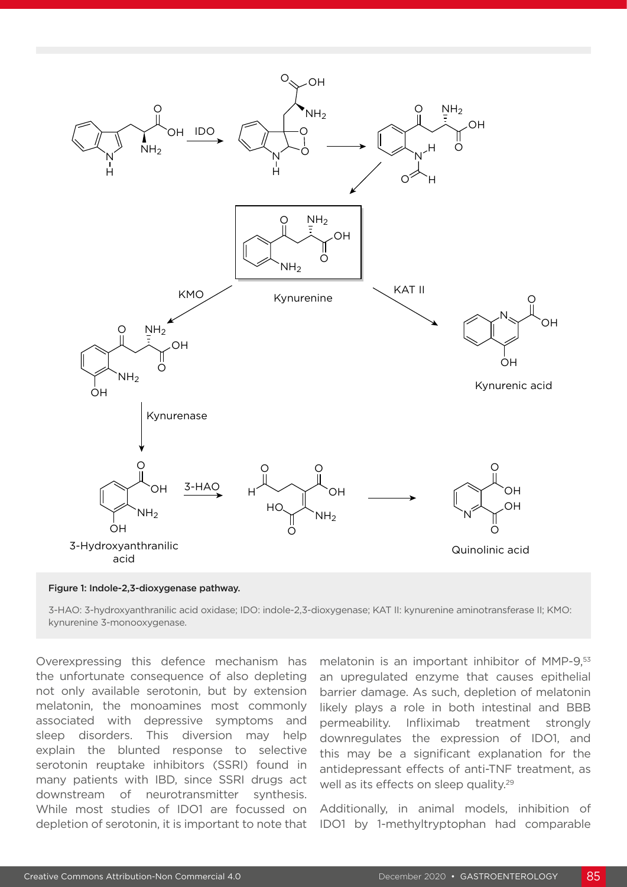

#### Figure 1: Indole-2,3-dioxygenase pathway.

3-HAO: 3-hydroxyanthranilic acid oxidase; IDO: indole-2,3-dioxygenase; KAT II: kynurenine aminotransferase II; KMO: kynurenine 3-monooxygenase.

Overexpressing this defence mechanism has the unfortunate consequence of also depleting not only available serotonin, but by extension melatonin, the monoamines most commonly associated with depressive symptoms and sleep disorders. This diversion may help explain the blunted response to selective serotonin reuptake inhibitors (SSRI) found in many patients with IBD, since SSRI drugs act downstream of neurotransmitter synthesis. While most studies of IDO1 are focussed on depletion of serotonin, it is important to note that

melatonin is an important inhibitor of MMP-9,<sup>53</sup> an upregulated enzyme that causes epithelial barrier damage. As such, depletion of melatonin likely plays a role in both intestinal and BBB permeability. Infliximab treatment strongly downregulates the expression of IDO1, and this may be a significant explanation for the antidepressant effects of anti-TNF treatment, as well as its effects on sleep quality.<sup>29</sup>

Additionally, in animal models, inhibition of IDO1 by 1-methyltryptophan had comparable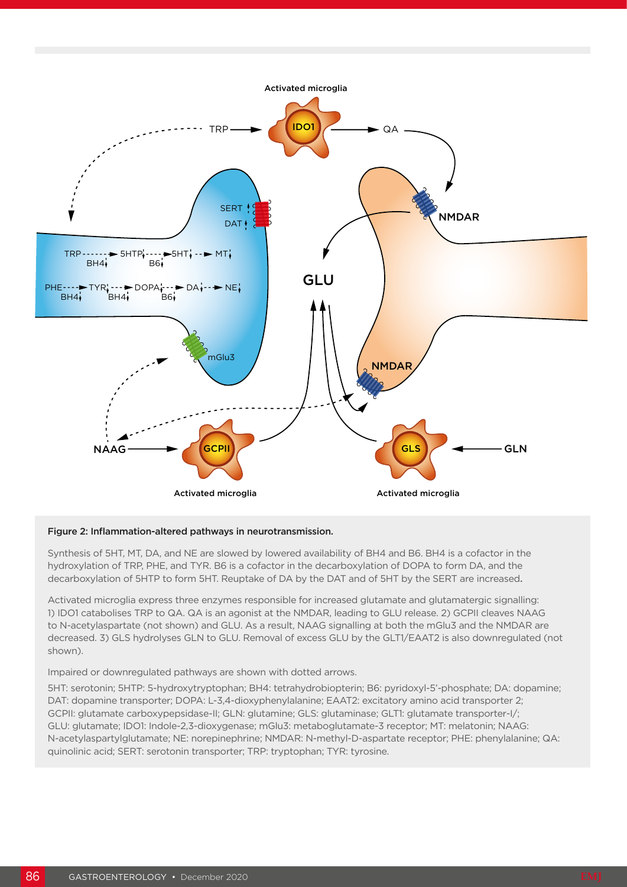

#### Figure 2: Inflammation-altered pathways in neurotransmission.

Synthesis of 5HT, MT, DA, and NE are slowed by lowered availability of BH4 and B6. BH4 is a cofactor in the hydroxylation of TRP, PHE, and TYR. B6 is a cofactor in the decarboxylation of DOPA to form DA, and the decarboxylation of 5HTP to form 5HT. Reuptake of DA by the DAT and of 5HT by the SERT are increased.

Activated microglia express three enzymes responsible for increased glutamate and glutamatergic signalling: 1) IDO1 catabolises TRP to QA. QA is an agonist at the NMDAR, leading to GLU release. 2) GCPII cleaves NAAG to N-acetylaspartate (not shown) and GLU. As a result, NAAG signalling at both the mGlu3 and the NMDAR are decreased. 3) GLS hydrolyses GLN to GLU. Removal of excess GLU by the GLT1/EAAT2 is also downregulated (not shown).

Impaired or downregulated pathways are shown with dotted arrows.

5HT: serotonin; 5HTP: 5-hydroxytryptophan; BH4: tetrahydrobiopterin; B6: pyridoxyl-5'-phosphate; DA: dopamine; DAT: dopamine transporter; DOPA: L-3,4-dioxyphenylalanine; EAAT2: excitatory amino acid transporter 2; GCPII: glutamate carboxypepsidase-II; GLN: glutamine; GLS: glutaminase; GLT1: glutamate transporter-I/; GLU: glutamate; IDO1: Indole-2,3-dioxygenase; mGlu3: metaboglutamate-3 receptor; MT: melatonin; NAAG: N-acetylaspartylglutamate; NE: norepinephrine; NMDAR: N-methyl-D-aspartate receptor; PHE: phenylalanine; QA: quinolinic acid; SERT: serotonin transporter; TRP: tryptophan; TYR: tyrosine.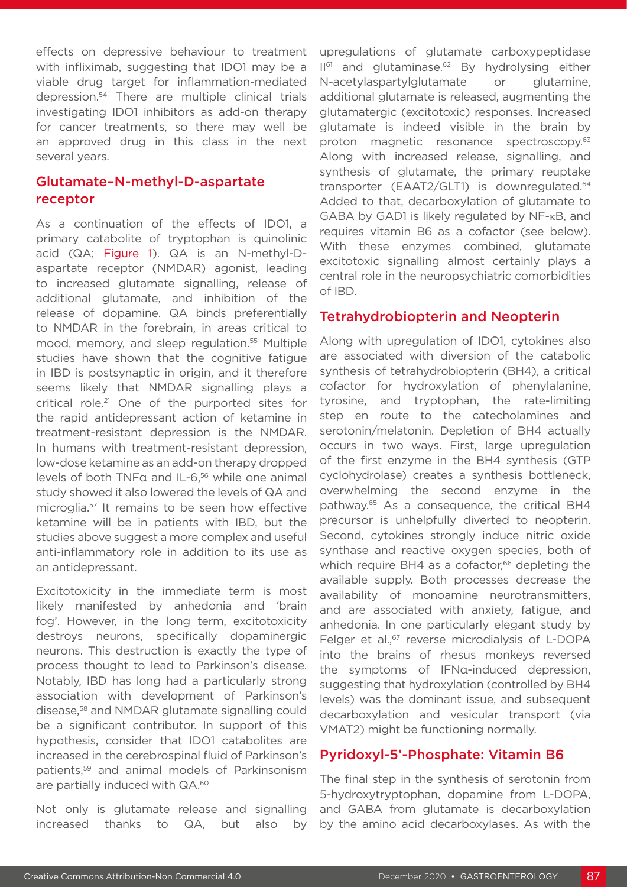effects on depressive behaviour to treatment with infliximab, suggesting that IDO1 may be a viable drug target for inflammation-mediated depression.54 There are multiple clinical trials investigating IDO1 inhibitors as add-on therapy for cancer treatments, so there may well be an approved drug in this class in the next several years.

## Glutamate–N-methyl-D-aspartate receptor

As a continuation of the effects of IDO1, a primary catabolite of tryptophan is quinolinic acid (QA; Figure 1). QA is an N-methyl-Daspartate receptor (NMDAR) agonist, leading to increased glutamate signalling, release of additional glutamate, and inhibition of the release of dopamine. QA binds preferentially to NMDAR in the forebrain, in areas critical to mood, memory, and sleep regulation.<sup>55</sup> Multiple studies have shown that the cognitive fatigue in IBD is postsynaptic in origin, and it therefore seems likely that NMDAR signalling plays a critical role.21 One of the purported sites for the rapid antidepressant action of ketamine in treatment-resistant depression is the NMDAR. In humans with treatment-resistant depression, low-dose ketamine as an add-on therapy dropped levels of both TNFα and IL-6,<sup>56</sup> while one animal study showed it also lowered the levels of QA and microglia.57 It remains to be seen how effective ketamine will be in patients with IBD, but the studies above suggest a more complex and useful anti-inflammatory role in addition to its use as an antidepressant.

Excitotoxicity in the immediate term is most likely manifested by anhedonia and 'brain fog'. However, in the long term, excitotoxicity destroys neurons, specifically dopaminergic neurons. This destruction is exactly the type of process thought to lead to Parkinson's disease. Notably, IBD has long had a particularly strong association with development of Parkinson's disease,58 and NMDAR glutamate signalling could be a significant contributor. In support of this hypothesis, consider that IDO1 catabolites are increased in the cerebrospinal fluid of Parkinson's patients,59 and animal models of Parkinsonism are partially induced with QA.<sup>60</sup>

Not only is glutamate release and signalling increased thanks to QA, but also by upregulations of glutamate carboxypeptidase  $II<sup>61</sup>$  and glutaminase.<sup>62</sup> By hydrolysing either N-acetylaspartylglutamate or glutamine, additional glutamate is released, augmenting the glutamatergic (excitotoxic) responses. Increased glutamate is indeed visible in the brain by proton magnetic resonance spectroscopy.<sup>63</sup> Along with increased release, signalling, and synthesis of glutamate, the primary reuptake transporter (EAAT2/GLT1) is downregulated.<sup>64</sup> Added to that, decarboxylation of glutamate to GABA by GAD1 is likely regulated by NF-κB, and requires vitamin B6 as a cofactor (see below). With these enzymes combined, glutamate excitotoxic signalling almost certainly plays a central role in the neuropsychiatric comorbidities of IBD.

#### Tetrahydrobiopterin and Neopterin

Along with upregulation of IDO1, cytokines also are associated with diversion of the catabolic synthesis of tetrahydrobiopterin (BH4), a critical cofactor for hydroxylation of phenylalanine, tyrosine, and tryptophan, the rate-limiting step en route to the catecholamines and serotonin/melatonin. Depletion of BH4 actually occurs in two ways. First, large upregulation of the first enzyme in the BH4 synthesis (GTP cyclohydrolase) creates a synthesis bottleneck, overwhelming the second enzyme in the pathway.65 As a consequence, the critical BH4 precursor is unhelpfully diverted to neopterin. Second, cytokines strongly induce nitric oxide synthase and reactive oxygen species, both of which require BH4 as a cofactor,<sup>66</sup> depleting the available supply. Both processes decrease the availability of monoamine neurotransmitters, and are associated with anxiety, fatigue, and anhedonia. In one particularly elegant study by Felger et al.,<sup>67</sup> reverse microdialysis of L-DOPA into the brains of rhesus monkeys reversed the symptoms of IFNα-induced depression, suggesting that hydroxylation (controlled by BH4 levels) was the dominant issue, and subsequent decarboxylation and vesicular transport (via VMAT2) might be functioning normally.

#### Pyridoxyl-5'-Phosphate: Vitamin B6

The final step in the synthesis of serotonin from 5-hydroxytryptophan, dopamine from L-DOPA, and GABA from glutamate is decarboxylation by the amino acid decarboxylases. As with the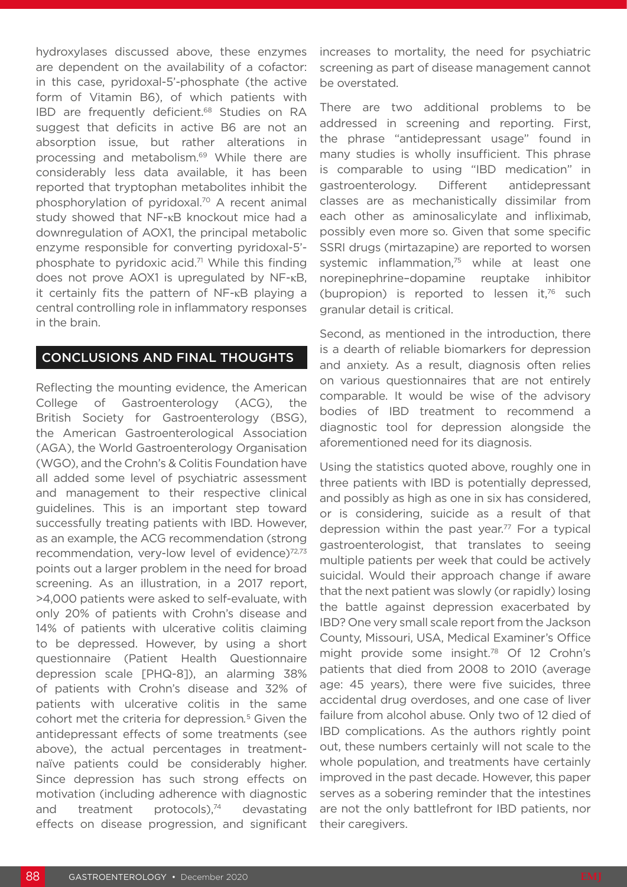hydroxylases discussed above, these enzymes are dependent on the availability of a cofactor: in this case, pyridoxal-5'-phosphate (the active form of Vitamin B6), of which patients with IBD are frequently deficient.<sup>68</sup> Studies on RA suggest that deficits in active B6 are not an absorption issue, but rather alterations in processing and metabolism.69 While there are considerably less data available, it has been reported that tryptophan metabolites inhibit the phosphorylation of pyridoxal.70 A recent animal study showed that NF-κB knockout mice had a downregulation of AOX1, the principal metabolic enzyme responsible for converting pyridoxal-5' phosphate to pyridoxic acid.<sup>71</sup> While this finding does not prove AOX1 is upregulated by NF-κB, it certainly fits the pattern of NF-κB playing a central controlling role in inflammatory responses in the brain.

#### CONCLUSIONS AND FINAL THOUGHTS

Reflecting the mounting evidence, the American College of Gastroenterology (ACG), the British Society for Gastroenterology (BSG), the American Gastroenterological Association (AGA), the World Gastroenterology Organisation (WGO), and the Crohn's & Colitis Foundation have all added some level of psychiatric assessment and management to their respective clinical guidelines. This is an important step toward successfully treating patients with IBD. However, as an example, the ACG recommendation (strong recommendation, very-low level of evidence)<sup>72,73</sup> points out a larger problem in the need for broad screening. As an illustration, in a 2017 report, >4,000 patients were asked to self-evaluate, with only 20% of patients with Crohn's disease and 14% of patients with ulcerative colitis claiming to be depressed. However, by using a short questionnaire (Patient Health Questionnaire depression scale [PHQ-8]), an alarming 38% of patients with Crohn's disease and 32% of patients with ulcerative colitis in the same cohort met the criteria for depression*.* 5 Given the antidepressant effects of some treatments (see above), the actual percentages in treatmentnaïve patients could be considerably higher. Since depression has such strong effects on motivation (including adherence with diagnostic and treatment protocols), $74$  devastating effects on disease progression, and significant

increases to mortality, the need for psychiatric screening as part of disease management cannot be overstated.

There are two additional problems to be addressed in screening and reporting. First, the phrase "antidepressant usage" found in many studies is wholly insufficient. This phrase is comparable to using "IBD medication" in gastroenterology. Different antidepressant classes are as mechanistically dissimilar from each other as aminosalicylate and infliximab, possibly even more so. Given that some specific SSRI drugs (mirtazapine) are reported to worsen systemic inflammation,<sup>75</sup> while at least one norepinephrine–dopamine reuptake inhibitor (bupropion) is reported to lessen it, $76$  such granular detail is critical.

Second, as mentioned in the introduction, there is a dearth of reliable biomarkers for depression and anxiety. As a result, diagnosis often relies on various questionnaires that are not entirely comparable. It would be wise of the advisory bodies of IBD treatment to recommend a diagnostic tool for depression alongside the aforementioned need for its diagnosis.

Using the statistics quoted above, roughly one in three patients with IBD is potentially depressed, and possibly as high as one in six has considered, or is considering, suicide as a result of that depression within the past year.<sup>77</sup> For a typical gastroenterologist, that translates to seeing multiple patients per week that could be actively suicidal. Would their approach change if aware that the next patient was slowly (or rapidly) losing the battle against depression exacerbated by IBD? One very small scale report from the Jackson County, Missouri, USA, Medical Examiner's Office might provide some insight.<sup>78</sup> Of 12 Crohn's patients that died from 2008 to 2010 (average age: 45 years), there were five suicides, three accidental drug overdoses, and one case of liver failure from alcohol abuse. Only two of 12 died of IBD complications. As the authors rightly point out, these numbers certainly will not scale to the whole population, and treatments have certainly improved in the past decade. However, this paper serves as a sobering reminder that the intestines are not the only battlefront for IBD patients, nor their caregivers.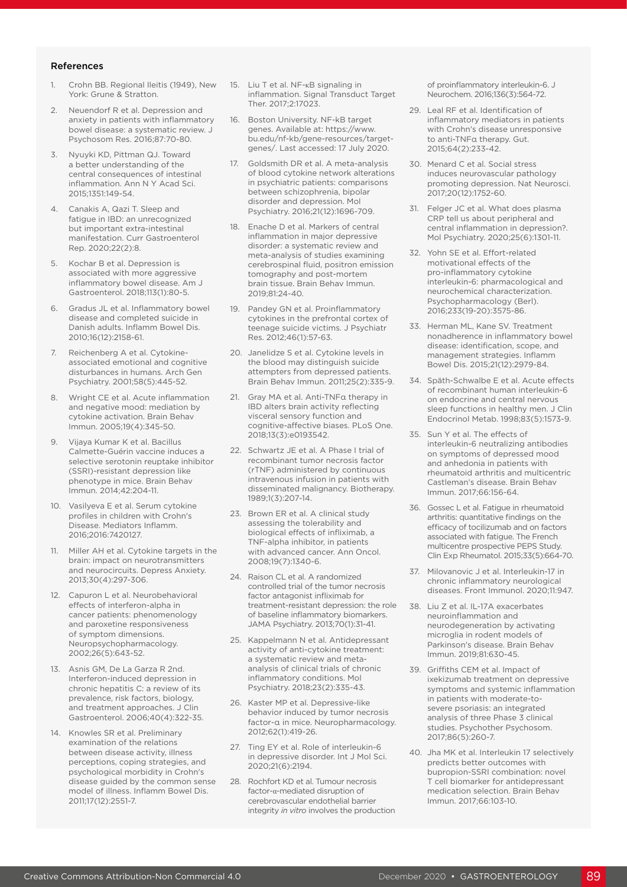#### References

- 1. Crohn BB. Regional Ileitis (1949), New York: Grune & Stratton.
- 2. Neuendorf R et al. Depression and anxiety in patients with inflammatory bowel disease: a systematic review. J Psychosom Res. 2016;87:70-80.
- 3. Nyuyki KD, Pittman QJ. Toward a better understanding of the central consequences of intestinal inflammation. Ann N Y Acad Sci. 2015;1351:149-54.
- Canakis A, Qazi T. Sleep and fatigue in IBD: an unrecognized but important extra-intestinal manifestation. Curr Gastroenterol Rep. 2020;22(2):8.
- 5. Kochar B et al. Depression is associated with more aggressive inflammatory bowel disease. Am J Gastroenterol. 2018;113(1):80-5.
- 6. Gradus JL et al. Inflammatory bowel disease and completed suicide in Danish adults. Inflamm Bowel Dis. 2010;16(12):2158-61.
- 7. Reichenberg A et al. Cytokineassociated emotional and cognitive disturbances in humans. Arch Gen Psychiatry. 2001;58(5):445-52.
- 8. Wright CE et al. Acute inflammation and negative mood: mediation by cytokine activation. Brain Behav Immun. 2005;19(4):345-50.
- 9. Vijaya Kumar K et al. Bacillus Calmette-Guérin vaccine induces a selective serotonin reuptake inhibitor (SSRI)-resistant depression like phenotype in mice. Brain Behav Immun. 2014;42:204-11.
- 10. Vasilyeva E et al. Serum cytokine profiles in children with Crohn's Disease. Mediators Inflamm. 2016;2016:7420127.
- 11. Miller AH et al. Cytokine targets in the brain: impact on neurotransmitters and neurocircuits. Depress Anxiety. 2013;30(4):297-306.
- 12. Capuron L et al. Neurobehavioral effects of interferon-alpha in cancer patients: phenomenology and paroxetine responsiveness of symptom dimensions. Neuropsychopharmacology. 2002;26(5):643-52.
- 13. Asnis GM, De La Garza R 2nd. Interferon-induced depression in chronic hepatitis C: a review of its prevalence, risk factors, biology, and treatment approaches. J Clin Gastroenterol. 2006;40(4):322-35.
- 14. Knowles SR et al. Preliminary examination of the relations between disease activity, illness perceptions, coping strategies, and psychological morbidity in Crohn's disease guided by the common sense model of illness. Inflamm Bowel Dis. 2011;17(12):2551-7.
- 15. Liu T et al. NF-κB signaling in inflammation. Signal Transduct Target Ther. 2017;2:17023.
- 16. Boston University. NF-kB target genes. Available at: https://www. bu.edu/nf-kb/gene-resources/targetgenes/. Last accessed: 17 July 2020.
- 17. Goldsmith DR et al. A meta-analysis of blood cytokine network alterations in psychiatric patients: comparisons between schizophrenia, bipolar disorder and depression. Mol Psychiatry. 2016;21(12):1696-709.
- 18. Enache D et al. Markers of central inflammation in major depressive disorder: a systematic review and meta-analysis of studies examining cerebrospinal fluid, positron emission tomography and post-mortem brain tissue. Brain Behav Immun. 2019;81:24-40.
- 19. Pandey GN et al. Proinflammatory cytokines in the prefrontal cortex of teenage suicide victims. J Psychiatr Res. 2012;46(1):57-63.
- 20. Janelidze S et al. Cytokine levels in the blood may distinguish suicide attempters from depressed patients. Brain Behav Immun. 2011;25(2):335-9.
- 21. Gray MA et al. Anti-TNFα therapy in IBD alters brain activity reflecting visceral sensory function and cognitive-affective biases. PLoS One. 2018;13(3):e0193542.
- 22. Schwartz JE et al. A Phase I trial of recombinant tumor necrosis factor (rTNF) administered by continuous intravenous infusion in patients with disseminated malignancy. Biotherapy. 1989;1(3):207-14.
- 23. Brown ER et al. A clinical study assessing the tolerability and biological effects of infliximab, a TNF-alpha inhibitor, in patients with advanced cancer. Ann Oncol. 2008;19(7):1340-6.
- 24. Raison CL et al. A randomized controlled trial of the tumor necrosis factor antagonist infliximab for treatment-resistant depression: the role of baseline inflammatory biomarkers. JAMA Psychiatry. 2013;70(1):31-41.
- 25. Kappelmann N et al. Antidepressant activity of anti-cytokine treatment: a systematic review and metaanalysis of clinical trials of chronic inflammatory conditions. Mol Psychiatry. 2018;23(2):335-43.
- 26. Kaster MP et al. Depressive-like behavior induced by tumor necrosis factor-α in mice. Neuropharmacology. 2012;62(1):419-26.
- 27. Ting EY et al. Role of interleukin-6 in depressive disorder. Int J Mol Sci. 2020;21(6):2194.
- 28. Rochfort KD et al. Tumour necrosis factor-α-mediated disruption of cerebrovascular endothelial barrier integrity *in vitro* involves the production

of proinflammatory interleukin-6. J Neurochem. 2016;136(3):564-72.

- 29. Leal RF et al. Identification of inflammatory mediators in patients with Crohn's disease unresponsive to anti-TNFα therapy. Gut. 2015;64(2):233-42.
- 30. Menard C et al. Social stress induces neurovascular pathology promoting depression. Nat Neurosci. 2017;20(12):1752-60.
- 31. Felger JC et al. What does plasma CRP tell us about peripheral and central inflammation in depression?. Mol Psychiatry. 2020;25(6):1301-11.
- 32. Yohn SE et al. Effort-related motivational effects of the pro-inflammatory cytokine interleukin-6: pharmacological and neurochemical characterization. Psychopharmacology (Berl). 2016;233(19-20):3575-86.
- 33. Herman ML, Kane SV. Treatment nonadherence in inflammatory bowel disease: identification, scope, and management strategies. Inflamm Bowel Dis. 2015;21(12):2979-84.
- 34. Späth-Schwalbe E et al. Acute effects of recombinant human interleukin-6 on endocrine and central nervous sleep functions in healthy men. J Clin Endocrinol Metab. 1998;83(5):1573-9.
- 35. Sun Y et al. The effects of interleukin-6 neutralizing antibodies on symptoms of depressed mood and anhedonia in patients with rheumatoid arthritis and multicentric Castleman's disease. Brain Behav Immun. 2017;66:156-64.
- 36. Gossec L et al. Fatigue in rheumatoid arthritis: quantitative findings on the efficacy of tocilizumab and on factors associated with fatigue. The French multicentre prospective PEPS Study. Clin Exp Rheumatol. 2015;33(5):664-70.
- 37. Milovanovic J et al. Interleukin-17 in chronic inflammatory neurological diseases. Front Immunol. 2020;11:947.
- 38. Liu Z et al. IL-17A exacerbates neuroinflammation and neurodegeneration by activating microglia in rodent models of Parkinson's disease. Brain Behav Immun. 2019;81:630-45.
- 39. Griffiths CEM et al. Impact of ixekizumab treatment on depressive symptoms and systemic inflammation in patients with moderate-tosevere psoriasis: an integrated analysis of three Phase 3 clinical studies. Psychother Psychosom. 2017;86(5):260-7.
- 40. Jha MK et al. Interleukin 17 selectively predicts better outcomes with bupropion-SSRI combination: novel T cell biomarker for antidepressant medication selection. Brain Behav Immun. 2017;66:103-10.